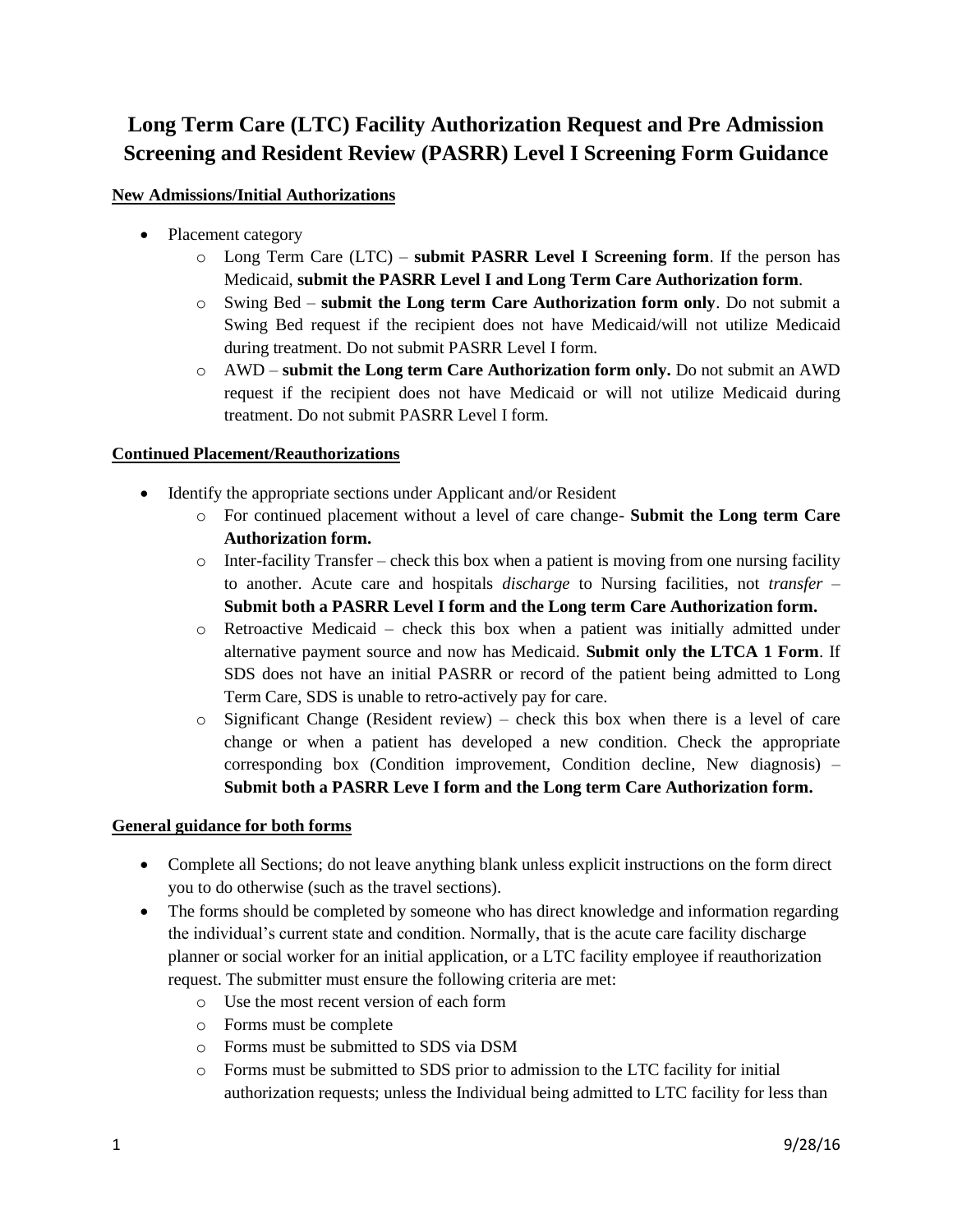# **Long Term Care (LTC) Facility Authorization Request and Pre Admission Screening and Resident Review (PASRR) Level I Screening Form Guidance**

#### **New Admissions/Initial Authorizations**

- Placement category
	- o Long Term Care (LTC) **submit PASRR Level I Screening form**. If the person has Medicaid, **submit the PASRR Level I and Long Term Care Authorization form**.
	- o Swing Bed **submit the Long term Care Authorization form only**. Do not submit a Swing Bed request if the recipient does not have Medicaid/will not utilize Medicaid during treatment. Do not submit PASRR Level I form.
	- o AWD **submit the Long term Care Authorization form only.** Do not submit an AWD request if the recipient does not have Medicaid or will not utilize Medicaid during treatment. Do not submit PASRR Level I form.

# **Continued Placement/Reauthorizations**

- Identify the appropriate sections under Applicant and/or Resident
	- o For continued placement without a level of care change- **Submit the Long term Care Authorization form.**
	- $\circ$  Inter-facility Transfer check this box when a patient is moving from one nursing facility to another. Acute care and hospitals *discharge* to Nursing facilities, not *transfer* – **Submit both a PASRR Level I form and the Long term Care Authorization form.**
	- o Retroactive Medicaid check this box when a patient was initially admitted under alternative payment source and now has Medicaid. **Submit only the LTCA 1 Form**. If SDS does not have an initial PASRR or record of the patient being admitted to Long Term Care, SDS is unable to retro-actively pay for care.
	- $\circ$  Significant Change (Resident review) check this box when there is a level of care change or when a patient has developed a new condition. Check the appropriate corresponding box (Condition improvement, Condition decline, New diagnosis) – **Submit both a PASRR Leve I form and the Long term Care Authorization form.**

#### **General guidance for both forms**

- Complete all Sections; do not leave anything blank unless explicit instructions on the form direct you to do otherwise (such as the travel sections).
- The forms should be completed by someone who has direct knowledge and information regarding the individual's current state and condition. Normally, that is the acute care facility discharge planner or social worker for an initial application, or a LTC facility employee if reauthorization request. The submitter must ensure the following criteria are met:
	- o Use the most recent version of each form
	- o Forms must be complete
	- o Forms must be submitted to SDS via DSM
	- o Forms must be submitted to SDS prior to admission to the LTC facility for initial authorization requests; unless the Individual being admitted to LTC facility for less than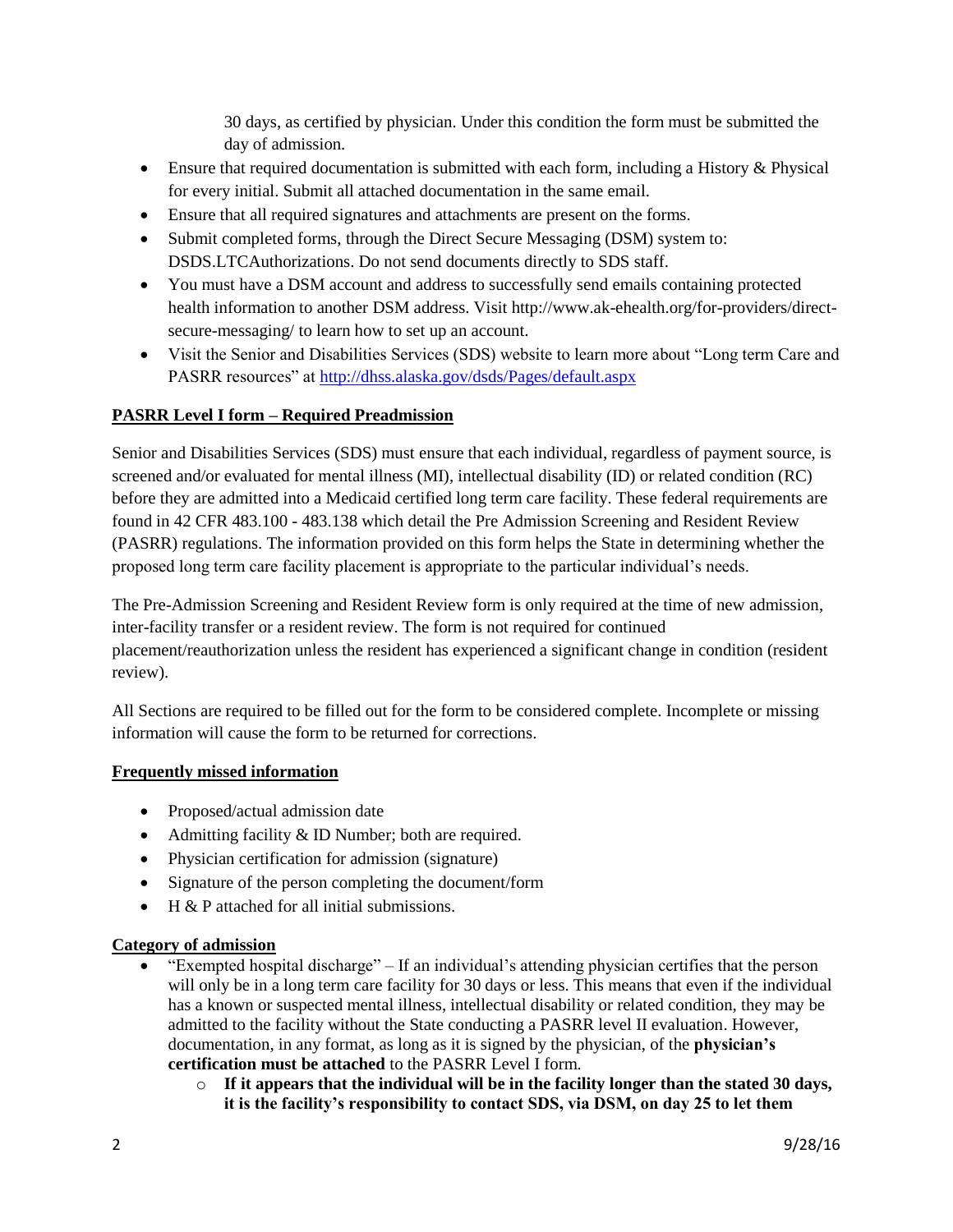30 days, as certified by physician. Under this condition the form must be submitted the day of admission.

- Ensure that required documentation is submitted with each form, including a History & Physical for every initial. Submit all attached documentation in the same email.
- Ensure that all required signatures and attachments are present on the forms.
- Submit completed forms, through the Direct Secure Messaging (DSM) system to: DSDS.LTCAuthorizations. Do not send documents directly to SDS staff.
- You must have a DSM account and address to successfully send emails containing protected health information to another DSM address. Visit http://www.ak-ehealth.org/for-providers/directsecure-messaging/ to learn how to set up an account.
- Visit the Senior and Disabilities Services (SDS) website to learn more about "Long term Care and PASRR resources" at<http://dhss.alaska.gov/dsds/Pages/default.aspx>

# **PASRR Level I form – Required Preadmission**

Senior and Disabilities Services (SDS) must ensure that each individual, regardless of payment source, is screened and/or evaluated for mental illness (MI), intellectual disability (ID) or related condition (RC) before they are admitted into a Medicaid certified long term care facility. These federal requirements are found in 42 CFR 483.100 - 483.138 which detail the Pre Admission Screening and Resident Review (PASRR) regulations. The information provided on this form helps the State in determining whether the proposed long term care facility placement is appropriate to the particular individual's needs.

The Pre-Admission Screening and Resident Review form is only required at the time of new admission, inter-facility transfer or a resident review. The form is not required for continued placement/reauthorization unless the resident has experienced a significant change in condition (resident review).

All Sections are required to be filled out for the form to be considered complete. Incomplete or missing information will cause the form to be returned for corrections.

# **Frequently missed information**

- Proposed/actual admission date
- Admitting facility & ID Number; both are required.
- Physician certification for admission (signature)
- Signature of the person completing the document/form
- H & P attached for all initial submissions.

#### **Category of admission**

- "Exempted hospital discharge" If an individual's attending physician certifies that the person will only be in a long term care facility for 30 days or less. This means that even if the individual has a known or suspected mental illness, intellectual disability or related condition, they may be admitted to the facility without the State conducting a PASRR level II evaluation. However, documentation, in any format, as long as it is signed by the physician, of the **physician's certification must be attached** to the PASRR Level I form.
	- o **If it appears that the individual will be in the facility longer than the stated 30 days, it is the facility's responsibility to contact SDS, via DSM, on day 25 to let them**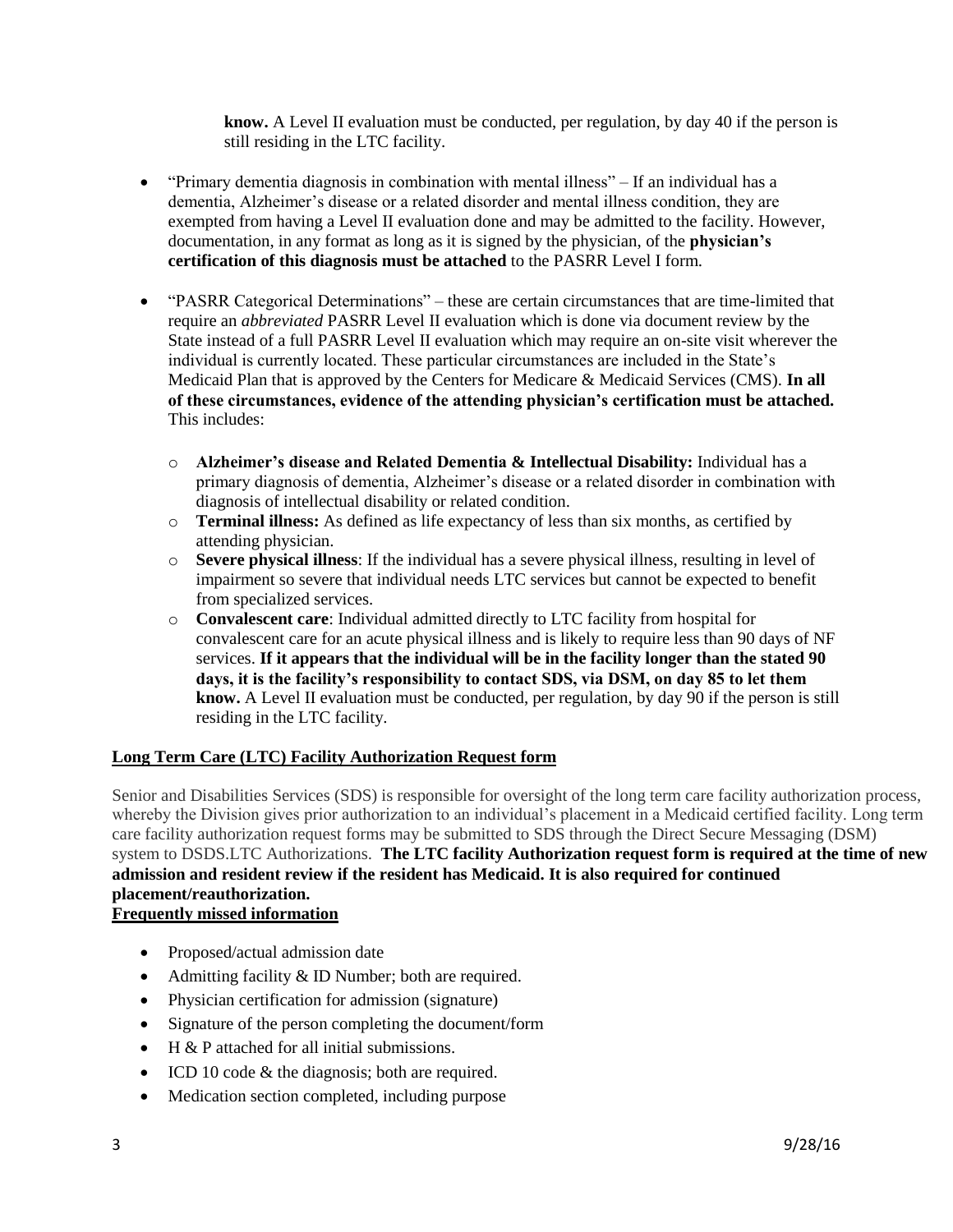**know.** A Level II evaluation must be conducted, per regulation, by day 40 if the person is still residing in the LTC facility.

- "Primary dementia diagnosis in combination with mental illness" If an individual has a dementia, Alzheimer's disease or a related disorder and mental illness condition, they are exempted from having a Level II evaluation done and may be admitted to the facility. However, documentation, in any format as long as it is signed by the physician, of the **physician's certification of this diagnosis must be attached** to the PASRR Level I form.
- "PASRR Categorical Determinations" these are certain circumstances that are time-limited that require an *abbreviated* PASRR Level II evaluation which is done via document review by the State instead of a full PASRR Level II evaluation which may require an on-site visit wherever the individual is currently located. These particular circumstances are included in the State's Medicaid Plan that is approved by the Centers for Medicare & Medicaid Services (CMS). **In all of these circumstances, evidence of the attending physician's certification must be attached.**  This includes:
	- o **Alzheimer's disease and Related Dementia & Intellectual Disability:** Individual has a primary diagnosis of dementia, Alzheimer's disease or a related disorder in combination with diagnosis of intellectual disability or related condition.
	- o **Terminal illness:** As defined as life expectancy of less than six months, as certified by attending physician.
	- o **Severe physical illness**: If the individual has a severe physical illness, resulting in level of impairment so severe that individual needs LTC services but cannot be expected to benefit from specialized services.
	- o **Convalescent care**: Individual admitted directly to LTC facility from hospital for convalescent care for an acute physical illness and is likely to require less than 90 days of NF services. **If it appears that the individual will be in the facility longer than the stated 90 days, it is the facility's responsibility to contact SDS, via DSM, on day 85 to let them know.** A Level II evaluation must be conducted, per regulation, by day 90 if the person is still residing in the LTC facility.

# **Long Term Care (LTC) Facility Authorization Request form**

Senior and Disabilities Services (SDS) is responsible for oversight of the long term care facility authorization process, whereby the Division gives prior authorization to an individual's placement in a Medicaid certified facility. Long term care facility authorization request forms may be submitted to SDS through the Direct Secure Messaging (DSM) system to DSDS.LTC Authorizations. **The LTC facility Authorization request form is required at the time of new admission and resident review if the resident has Medicaid. It is also required for continued placement/reauthorization.** 

#### **Frequently missed information**

- Proposed/actual admission date
- Admitting facility & ID Number; both are required.
- Physician certification for admission (signature)
- Signature of the person completing the document/form
- $\bullet$  H & P attached for all initial submissions.
- ICD 10 code & the diagnosis; both are required.
- Medication section completed, including purpose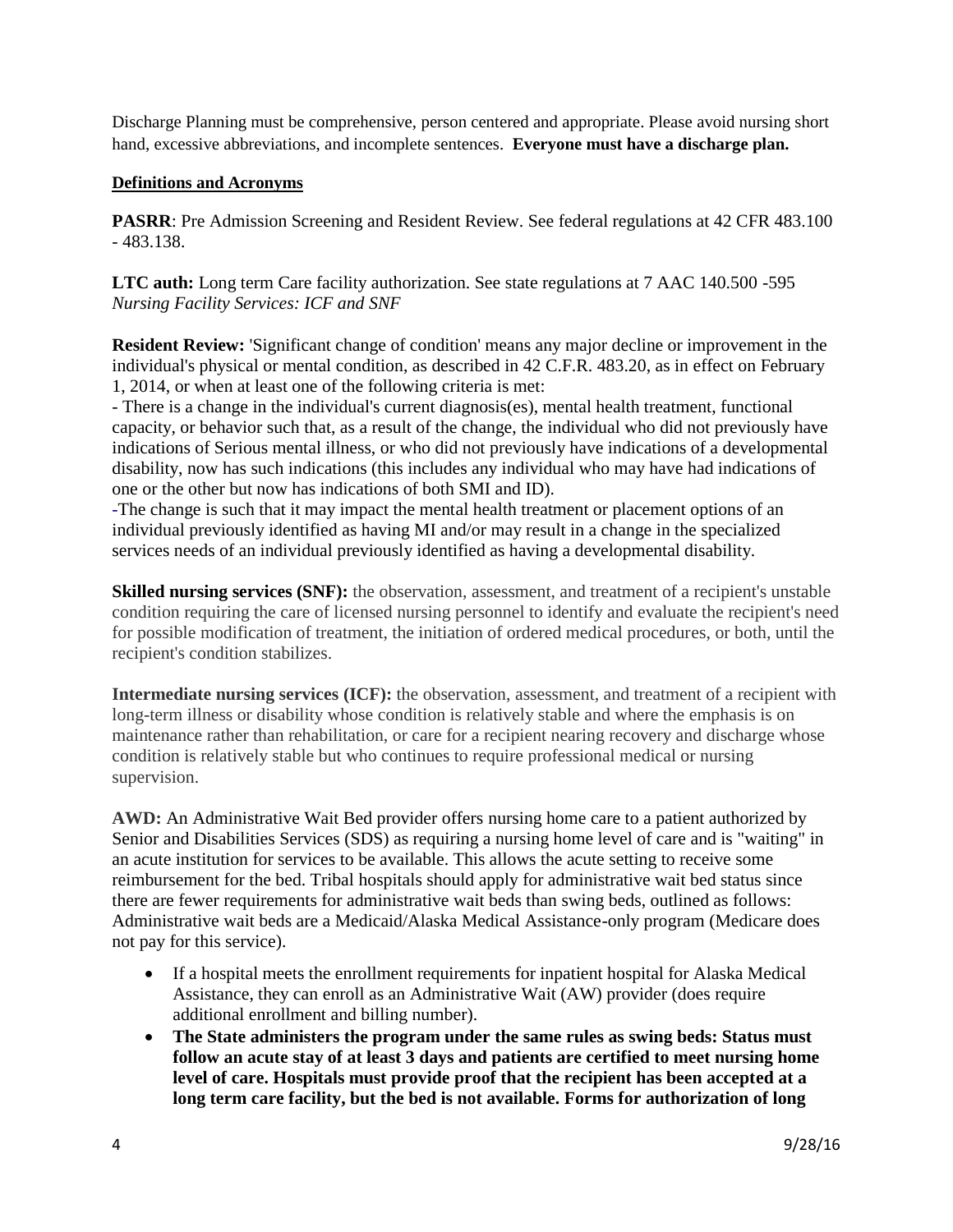Discharge Planning must be comprehensive, person centered and appropriate. Please avoid nursing short hand, excessive abbreviations, and incomplete sentences. **Everyone must have a discharge plan.**

### **Definitions and Acronyms**

**PASRR**: Pre Admission Screening and Resident Review. See federal regulations at 42 CFR 483.100 - 483.138.

**LTC auth:** Long term Care facility authorization. See state regulations at 7 AAC 140.500 -595 *Nursing Facility Services: ICF and SNF* 

**Resident Review:** 'Significant change of condition' means any major decline or improvement in the individual's physical or mental condition, as described in 42 C.F.R. 483.20, as in effect on February 1, 2014, or when at least one of the following criteria is met:

- There is a change in the individual's current diagnosis(es), mental health treatment, functional capacity, or behavior such that, as a result of the change, the individual who did not previously have indications of Serious mental illness, or who did not previously have indications of a developmental disability, now has such indications (this includes any individual who may have had indications of one or the other but now has indications of both SMI and ID).

-The change is such that it may impact the mental health treatment or placement options of an individual previously identified as having MI and/or may result in a change in the specialized services needs of an individual previously identified as having a developmental disability.

**Skilled nursing services (SNF):** the observation, assessment, and treatment of a recipient's unstable condition requiring the care of licensed nursing personnel to identify and evaluate the recipient's need for possible modification of treatment, the initiation of ordered medical procedures, or both, until the recipient's condition stabilizes.

**Intermediate nursing services (ICF):** the observation, assessment, and treatment of a recipient with long-term illness or disability whose condition is relatively stable and where the emphasis is on maintenance rather than rehabilitation, or care for a recipient nearing recovery and discharge whose condition is relatively stable but who continues to require professional medical or nursing supervision.

**AWD:** An Administrative Wait Bed provider offers nursing home care to a patient authorized by Senior and Disabilities Services (SDS) as requiring a nursing home level of care and is "waiting" in an acute institution for services to be available. This allows the acute setting to receive some reimbursement for the bed. Tribal hospitals should apply for administrative wait bed status since there are fewer requirements for administrative wait beds than swing beds, outlined as follows: Administrative wait beds are a Medicaid/Alaska Medical Assistance-only program (Medicare does not pay for this service).

- If a hospital meets the enrollment requirements for inpatient hospital for Alaska Medical Assistance, they can enroll as an Administrative Wait (AW) provider (does require additional enrollment and billing number).
- **The State administers the program under the same rules as swing beds: Status must follow an acute stay of at least 3 days and patients are certified to meet nursing home level of care. Hospitals must provide proof that the recipient has been accepted at a long term care facility, but the bed is not available. Forms for authorization of long**